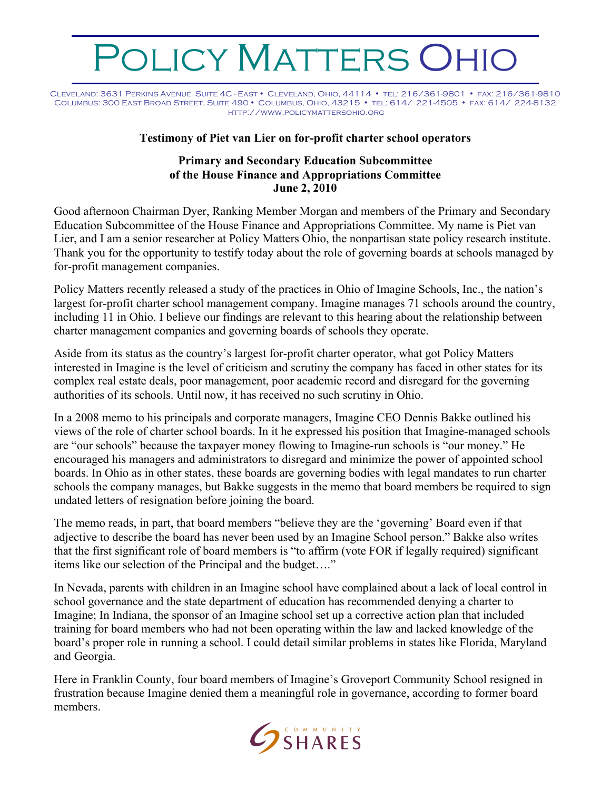## OLICY MATTERS OHIO

Cleveland: 3631 Perkins Avenue Suite 4C - East • Cleveland, Ohio, 44114 • tel: 216/361-9801 • fax: 216/361-9810 Columbus: 300 East Broad Street, Suite 490 • Columbus, Ohio, 43215 • tel: 614/ 221-4505 • fax: 614/ 224-8132 http://www.policymattersohio.org

## **Testimony of Piet van Lier on for-profit charter school operators**

## **Primary and Secondary Education Subcommittee of the House Finance and Appropriations Committee June 2, 2010**

Good afternoon Chairman Dyer, Ranking Member Morgan and members of the Primary and Secondary Education Subcommittee of the House Finance and Appropriations Committee. My name is Piet van Lier, and I am a senior researcher at Policy Matters Ohio, the nonpartisan state policy research institute. Thank you for the opportunity to testify today about the role of governing boards at schools managed by for-profit management companies.

Policy Matters recently released a study of the practices in Ohio of Imagine Schools, Inc., the nation's largest for-profit charter school management company. Imagine manages 71 schools around the country, including 11 in Ohio. I believe our findings are relevant to this hearing about the relationship between charter management companies and governing boards of schools they operate.

Aside from its status as the country's largest for-profit charter operator, what got Policy Matters interested in Imagine is the level of criticism and scrutiny the company has faced in other states for its complex real estate deals, poor management, poor academic record and disregard for the governing authorities of its schools. Until now, it has received no such scrutiny in Ohio.

In a 2008 memo to his principals and corporate managers, Imagine CEO Dennis Bakke outlined his views of the role of charter school boards. In it he expressed his position that Imagine-managed schools are "our schools" because the taxpayer money flowing to Imagine-run schools is "our money." He encouraged his managers and administrators to disregard and minimize the power of appointed school boards. In Ohio as in other states, these boards are governing bodies with legal mandates to run charter schools the company manages, but Bakke suggests in the memo that board members be required to sign undated letters of resignation before joining the board.

The memo reads, in part, that board members "believe they are the 'governing' Board even if that adjective to describe the board has never been used by an Imagine School person." Bakke also writes that the first significant role of board members is "to affirm (vote FOR if legally required) significant items like our selection of the Principal and the budget…."

In Nevada, parents with children in an Imagine school have complained about a lack of local control in school governance and the state department of education has recommended denying a charter to Imagine; In Indiana, the sponsor of an Imagine school set up a corrective action plan that included training for board members who had not been operating within the law and lacked knowledge of the board's proper role in running a school. I could detail similar problems in states like Florida, Maryland and Georgia.

Here in Franklin County, four board members of Imagine's Groveport Community School resigned in frustration because Imagine denied them a meaningful role in governance, according to former board members.

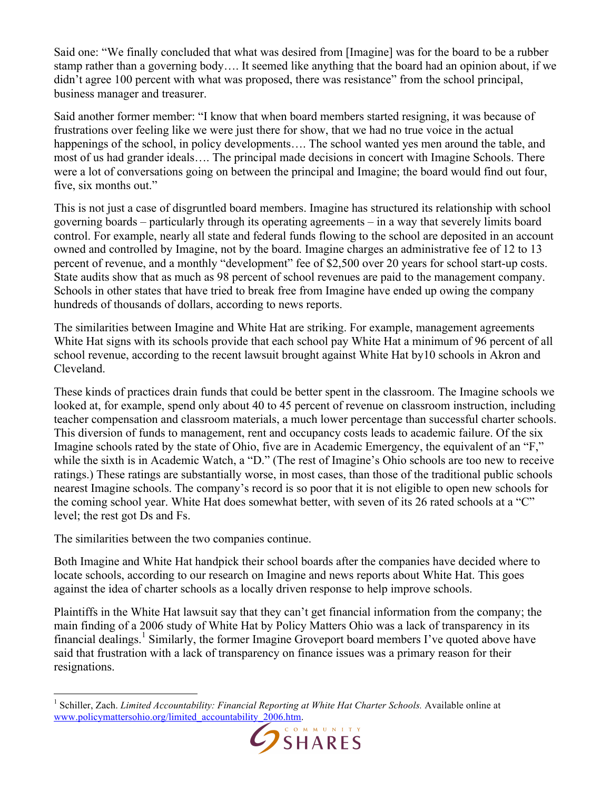Said one: "We finally concluded that what was desired from [Imagine] was for the board to be a rubber stamp rather than a governing body…. It seemed like anything that the board had an opinion about, if we didn't agree 100 percent with what was proposed, there was resistance" from the school principal, business manager and treasurer.

Said another former member: "I know that when board members started resigning, it was because of frustrations over feeling like we were just there for show, that we had no true voice in the actual happenings of the school, in policy developments.... The school wanted yes men around the table, and most of us had grander ideals…. The principal made decisions in concert with Imagine Schools. There were a lot of conversations going on between the principal and Imagine; the board would find out four, five, six months out."

This is not just a case of disgruntled board members. Imagine has structured its relationship with school governing boards – particularly through its operating agreements – in a way that severely limits board control. For example, nearly all state and federal funds flowing to the school are deposited in an account owned and controlled by Imagine, not by the board. Imagine charges an administrative fee of 12 to 13 percent of revenue, and a monthly "development" fee of \$2,500 over 20 years for school start-up costs. State audits show that as much as 98 percent of school revenues are paid to the management company. Schools in other states that have tried to break free from Imagine have ended up owing the company hundreds of thousands of dollars, according to news reports.

The similarities between Imagine and White Hat are striking. For example, management agreements White Hat signs with its schools provide that each school pay White Hat a minimum of 96 percent of all school revenue, according to the recent lawsuit brought against White Hat by10 schools in Akron and Cleveland.

These kinds of practices drain funds that could be better spent in the classroom. The Imagine schools we looked at, for example, spend only about 40 to 45 percent of revenue on classroom instruction, including teacher compensation and classroom materials, a much lower percentage than successful charter schools. This diversion of funds to management, rent and occupancy costs leads to academic failure. Of the six Imagine schools rated by the state of Ohio, five are in Academic Emergency, the equivalent of an "F," while the sixth is in Academic Watch, a "D." (The rest of Imagine's Ohio schools are too new to receive ratings.) These ratings are substantially worse, in most cases, than those of the traditional public schools nearest Imagine schools. The company's record is so poor that it is not eligible to open new schools for the coming school year. White Hat does somewhat better, with seven of its 26 rated schools at a "C" level; the rest got Ds and Fs.

The similarities between the two companies continue.

Both Imagine and White Hat handpick their school boards after the companies have decided where to locate schools, according to our research on Imagine and news reports about White Hat. This goes against the idea of charter schools as a locally driven response to help improve schools.

Plaintiffs in the White Hat lawsuit say that they can't get financial information from the company; the main finding of a 2006 study of White Hat by Policy Matters Ohio was a lack of transparency in its financial dealings.<sup>1</sup> Similarly, the former Imagine Groveport board members I've quoted above have said that frustration with a lack of transparency on finance issues was a primary reason for their resignations.

 $\frac{1}{1}$  Schiller, Zach. *Limited Accountability: Financial Reporting at White Hat Charter Schools.* Available online at www.policymattersohio.org/limited\_accountability\_2006.htm.